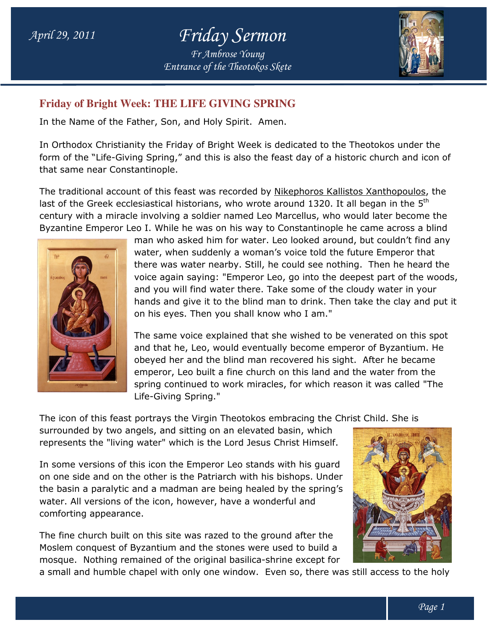# April 29, 2011 Friday Sermon Fr Ambrose Young

Entrance of the Theotokos Skete

### **Friday of Bright Week: THE LIFE GIVING SPRING THE LIFE**

In the Name of the Father, Son, and Holy Spirit. Amen.

In Orthodox Christianity the Friday of Bright Week is dedicated to the Theotokos under the form of the "Life-Giving Spring," and this is also the feast day of a historic church and icon of that same near Constantinople. stianity the Friday of Bright Week is dedicated to the Theotokos under<br>Giving Spring," and this is also the feast day of a historic church and io<br>onstantinople.<br>count of this feast was recorded by <u>Nikephoros Kallistos Xan</u>

The traditional account of this feast was recorded by Nikephoros Kallistos Xanthopoulos, the last of the Greek ecclesiastical historians, who wrote around 1320. It all began in the  $5<sup>th</sup>$ last of the Greek ecclesiastical historians, who wrote around 1320. It all began in the 5<sup>tn</sup><br>century with a miracle involving a soldier named Leo Marcellus, who would later become the Byzantine Emperor Leo I. While he was on his way to Constantinople he came across a blind



man who asked him for water. Leo looked around, but couldn't find any water, when suddenly a woman's voice told the future Emperor that man who asked him for water. Leo looked around, but couldn't find any<br>water, when suddenly a woman's voice told the future Emperor that<br>there was water nearby. Still, he could see nothing. Then he heard the voice again saying: "Emperor Leo, go into the deepest part of the woods, and you will find water there. Take some of the cloudy water in your hands and give it to the blind man to drink. Then take t on his eyes. Then you shall know who I am." you will find water there. Take some of the cloudy wate<br>ds and give it to the blind man to drink. Then take the  $\alpha$ <br>is eyes. Then you shall know who I am."<br>same voice explained that she wished to be venerated<br>that he, Leo the clay and put it

The same voice explained that she wished to be venerated on this spot and that he, Leo, would eventually become emperor of Byzantium. He obeyed her and the blind man recovered his sight. After he became emperor, Leo built a fine church on this land and the water from the spring continued to work miracles, for which reason it was called "The Life-Giving Spring." a to built a fine church on this land and the spring continued to work miracles, for which reason Life-Giving Spring."<br>The icon of this feast portrays the Virgin Theotokos embracing the Christ surrounded by two angels, and

The icon of this feast portrays the Virgin Theotokos embracing the Christ Child. She is

surrounded by two angels, and sitting on an elevated basin, which represents the "living water" which is the Lord Jesus Christ Himself.

In some versions of this icon the Emperor Leo stands with his guard on one side and on the other is the Patriarch with his bishops. Under the basin a paralytic and a madman are being healed by the spring's water. All versions of the icon, however, have a wonderful and comforting appearance.

The fine church built on this site was razed to the ground after the Moslem conquest of Byzantium and the stones were used to build a the basin a paralytic and a madman are being healed by the spring's<br>water. All versions of the icon, however, have a wonderful and<br>comforting appearance.<br>The fine church built on this site was razed to the ground after the



a small and humble chapel with only one window. Even so, there was still access to the holy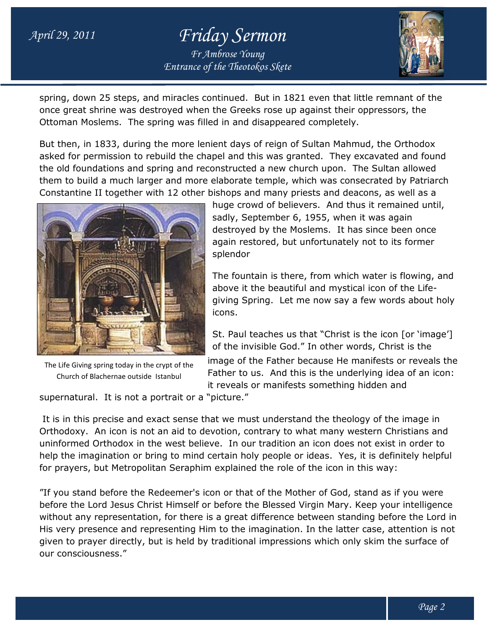## April 29, 2011 Friday Sermon Entrance of the Theotokos Skete Fr Ambrose Young



spring, down 25 steps, and miracles continued. But in 1821 even that little remnant of the once great shrine was destroyed when the Greeks rose up against their oppressors, the Ottoman Moslems. The spring was filled in and disappeared completely. once great shrine was destroyed when the Greeks rose up against their oppressors, the<br>Ottoman Moslems. The spring was filled in and disappeared completely.<br>But then, in 1833, during the more lenient days of reign of Sultan

asked for permission to rebuild the chapel and this was granted. They excavated and found asked for permission to rebuild the chapel and this was granted. They excavated and foun<br>the old foundations and spring and reconstructed a new church upon. The Sultan allowed them to build a much larger and more elaborate temple, which was consecrated by Patriarch Constantine II together with 12 other bishops and many priests and deacons, as well as a



The Life Giving spring today in the crypt of the Church of Blachernae outside Istanbul

huge crowd of believers. And thus it remained until, sadly, September 6, 1955, when it was again destroyed by the Moslems. It has since been once again restored, but unfortunately not to its former splendor sadly, September 6, 1955, when it was again<br>destroyed by the Moslems. It has since been once<br>again restored, but unfortunately not to its former<br>splendor<br>The fountain is there, from which water is flowing, and

above it the beautiful and mystical icon of the Lifegiving Spring. Let me now say a few words about holy icons.

St. Paul teaches us that "Christ is the icon [or 'image'] of the invisible God." In other words, Christ is the

of the invisible God." In other words, Christ is the<br>image of the Father because He manifests or reveals the Father to us. And this is the underlying idea of an icon:<br>it reveals or manifests something hidden and it reveals or manifests something hidden and

supernatural. It is not a portrait or a "picture."

It is in this precise and exact sense that we must understand the theology of the image in It is in this precise and exact sense that we must understand the theology of the image in<br>Orthodoxy. An icon is not an aid to devotion, contrary to what many western Christians and uninformed Orthodox in the west believe. In our tradition an icon does not exist in order to help the imagination or bring to mind certain holy people or ideas. Yes, it is definitely helpful for prayers, but Metropolitan Seraphim explained the role of the icon in this way: g spring today in the crypt of the<br>
integre of the ration cases the manufests of reverses on the Bachernae outside Istanbul<br>
in the veals or manifests something hidden and<br>
al. It is not a portrait or a "picture."<br>
in trov In our tradition an icon does not exist in order<br>ain holy people or ideas. Yes, it is definitely hel<br>plained the role of the icon in this way:<br>or that of the Mother of God, stand as if you wer<br>fore the Blessed Virgin Mary.

"If you stand before the Redeemer's icon or that of the Mother of God, stand as if you were "If you stand before the Redeemer's icon or that of the Mother of God, stand as if you were<br>before the Lord Jesus Christ Himself or before the Blessed Virgin Mary. Keep your intelligence without any representation, for there is a great difference between standing before the Lord in His very presence and representing Him to the imagination. In the latter case, attention is not given to prayer directly, but is held by traditional impressions which only skim the surface of our consciousness."